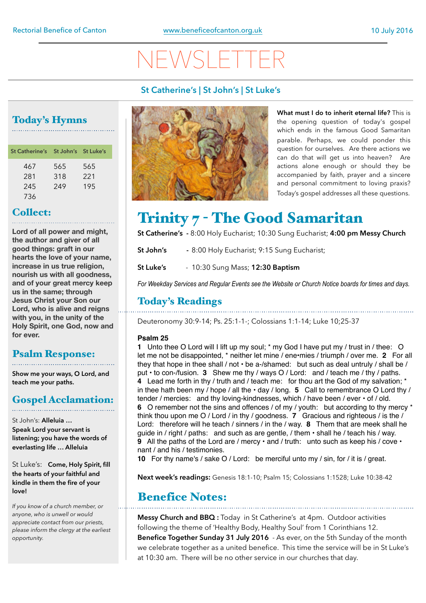# NEWSI

#### **St Catherine's | St John's | St Luke's**

### Today's Hymns

| St Catherine's St John's St Luke's |     |     |
|------------------------------------|-----|-----|
| 467                                | 565 | 565 |
| 281                                | 318 | 221 |
| 245                                | 249 | 195 |
| 736                                |     |     |

### Collect:

**Lord of all power and might, the author and giver of all good things: graft in our hearts the love of your name, increase in us true religion, nourish us with all goodness, and of your great mercy keep us in the same; through Jesus Christ your Son our Lord, who is alive and reigns with you, in the unity of the Holy Spirit, one God, now and for ever.**

#### Psalm Response:

**Show me your ways, O Lord, and teach me your paths.** 

## Gospel Acclamation:

St John's: **Alleluia … Speak Lord your servant is listening; you have the words of everlasting life … Alleluia** 

St Luke's: **Come, Holy Spirit, fill the hearts of your faithful and kindle in them the fire of your love!** 

*If you know of a church member, or anyone, who is unwell or would appreciate contact from our priests, please inform the clergy at the earliest opportunity.* 



**What must I do to inherit eternal life?** This is the opening question of today's gospel which ends in the famous Good Samaritan parable. Perhaps, we could ponder this question for ourselves. Are there actions we can do that will get us into heaven? Are actions alone enough or should they be accompanied by faith, prayer and a sincere and personal commitment to loving praxis? Today's gospel addresses all these questions.

## Trinity 7 - The Good Samaritan

**St Catherine's -** 8:00 Holy Eucharist; 10:30 Sung Eucharist; **4:00 pm Messy Church**

- **St John's** 8:00 Holy Eucharist; 9:15 Sung Eucharist;
- **St Luke's**  10:30 Sung Mass; **12:30 Baptism**

*For Weekday Services and Regular Events see the Website or Church Notice boards for times and days.* 

### Today's Readings

Deuteronomy 30:9-14; Ps. 25:1-1-; Colossians 1:1-14; Luke 10;25-37

#### **Psalm 25**

**1** Unto thee O Lord will I lift up my soul; \* my God I have put my / trust in / thee: O let me not be disappointed, \* neither let mine / ene•mies / triumph / over me. 2 For all they that hope in thee shall / not  $\cdot$  be a-/shamed: but such as deal untruly / shall be / put • to con-/fusion. **3** Shew me thy / ways O / Lord: and / teach me / thy / paths. **4** Lead me forth in thy / truth and / teach me: for thou art the God of my salvation; \* in thee hath been my / hope / all the  $\cdot$  day / long. **5** Call to remembrance O Lord thy / tender / mercies: and thy loving-kindnesses, which / have been / ever • of / old. **6** O remember not the sins and offences / of my / youth: but according to thy mercy \* think thou upon me O / Lord / in thy / goodness. **7** Gracious and righteous / is the / Lord: therefore will he teach / sinners / in the / way. **8** Them that are meek shall he guide in / right / paths: and such as are gentle, / them  $\cdot$  shall he / teach his / way. 9 All the paths of the Lord are / mercy  $\cdot$  and / truth: unto such as keep his / cove  $\cdot$ nant / and his / testimonies.

**10** For thy name's / sake O / Lord: be merciful unto my / sin, for / it is / great.

**Next week's readings:** Genesis 18:1-10; Psalm 15; Colossians 1:1528; Luke 10:38-42

## Benefice Notes:

**Messy Church and BBQ :** Today in St Catherine's at 4pm. Outdoor activities following the theme of 'Healthy Body, Healthy Soul' from 1 Corinthians 12. **Benefice Together Sunday 31 July 2016** - As ever, on the 5th Sunday of the month we celebrate together as a united benefice. This time the service will be in St Luke's at 10:30 am. There will be no other service in our churches that day.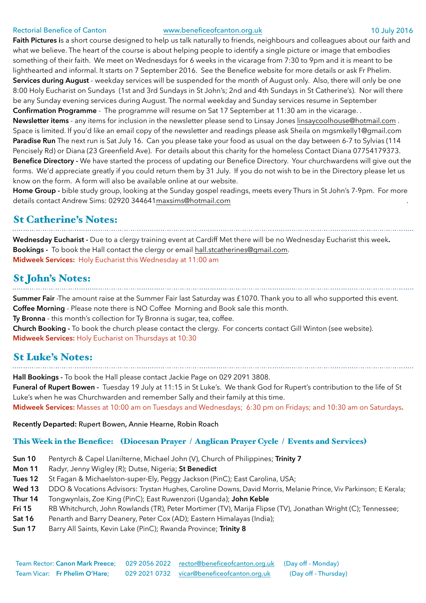#### Rectorial Benefice of Canton [www.beneficeofcanton.org.uk](http://www.beneficeofcanton.org.uk) 10 July 2016

**Faith Pictures i**s a short course designed to help us talk naturally to friends, neighbours and colleagues about our faith and what we believe. The heart of the course is about helping people to identify a single picture or image that embodies something of their faith. We meet on Wednesdays for 6 weeks in the vicarage from 7:30 to 9pm and it is meant to be lighthearted and informal. It starts on 7 September 2016. See the Benefice website for more details or ask Fr Phelim. **Services during August** - weekday services will be suspended for the month of August only. Also, there will only be one 8:00 Holy Eucharist on Sundays (1st and 3rd Sundays in St John's; 2nd and 4th Sundays in St Catherine's). Nor will there be any Sunday evening services during August. The normal weekday and Sunday services resume in September **Confirmation Programme** - The programme will resume on Sat 17 September at 11:30 am in the vicarage. . **Newsletter items** - any items for inclusion in the newsletter please send to Linsay Jones [linsaycoolhouse@hotmail.com](mailto:linsaycoolhouse@hotmail.com) . Space is limited. If you'd like an email copy of the newsletter and readings please ask Sheila on [mgsmkelly1@gmail.com](mailto:mgsmkelly1@gmail.com)  **Paradise Run** The next run is Sat July 16. Can you please take your food as usual on the day between 6-7 to Sylvias (114 Pencisely Rd) or Diana (23 Greenfield Ave). For details about this charity for the homeless Contact Diana 07754179373. **Benefice Directory -** We have started the process of updating our Benefice Directory. Your churchwardens will give out the forms. We'd appreciate greatly if you could return them by 31 July. If you do not wish to be in the Directory please let us know on the form. A form will also be available online at our website.

**Home Group -** bible study group, looking at the Sunday gospel readings, meets every Thurs in St John's 7-9pm. For more details contact Andrew Sims: 02920 344641 [maxsims@hotmail.com](mailto:maxsims@hotmail.com) .

#### St Catherine's Notes:

**Wednesday Eucharist -** Due to a clergy training event at Cardiff Met there will be no Wednesday Eucharist this week**. Bookings -** To book the Hall contact the clergy or email [hall.stcatherines@gmail.com.](mailto:hall.stcatherines@gmail.com) **Midweek Services:** Holy Eucharist this Wednesday at 11:00 am

## St John's Notes:

**Summer Fair** -The amount raise at the Summer Fair last Saturday was £1070. Thank you to all who supported this event. **Coffee Morning** - Please note there is NO Coffee Morning and Book sale this month. **Ty Bronna** - this month's collection for Ty Bronna is sugar, tea, coffee. **Church Booking -** To book the church please contact the clergy. For concerts contact Gill Winton (see website). **Midweek Services:** Holy Eucharist on Thursdays at 10:30

## St Luke's Notes:

**Hall Bookings -** To book the Hall please contact Jackie Page on 029 2091 3808. **Funeral of Rupert Bowen -** Tuesday 19 July at 11:15 in St Luke's. We thank God for Rupert's contribution to the life of St Luke's when he was Churchwarden and remember Sally and their family at this time. **Midweek Services:** Masses at 10:00 am on Tuesdays and Wednesdays; 6:30 pm on Fridays; and 10:30 am on Saturdays**.**

**Recently Departed:** Rupert Bowen**,** Annie Hearne, Robin Roach

#### This Week in the Benefice: (Diocesan Prayer / Anglican Prayer Cycle / Events and Services)

- **Sun 10** Pentyrch & Capel Llanilterne, Michael John (V), Church of Philippines; **Trinity 7**
- **Mon 11** Radyr, Jenny Wigley (R); Dutse, Nigeria; **St Benedict**
- Tues 12 St Fagan & Michaelston-super-Ely, Peggy Jackson (PinC); East Carolina, USA;
- **Wed 13** DDO & Vocations Advisors: Trystan Hughes, Caroline Downs, David Morris, Melanie Prince, Viv Parkinson; E Kerala;
- **Thur 14** Tongwynlais, Zoe King (PinC); East Ruwenzori (Uganda); **John Keble**
- **Fri 15** RB Whitchurch, John Rowlands (TR), Peter Mortimer (TV), Marija Flipse (TV), Jonathan Wright (C); Tennessee;
- **Sat 16** Penarth and Barry Deanery, Peter Cox (AD); Eastern Himalayas (India);
- **Sun 17** Barry All Saints, Kevin Lake (PinC); Rwanda Province; **Trinity 8**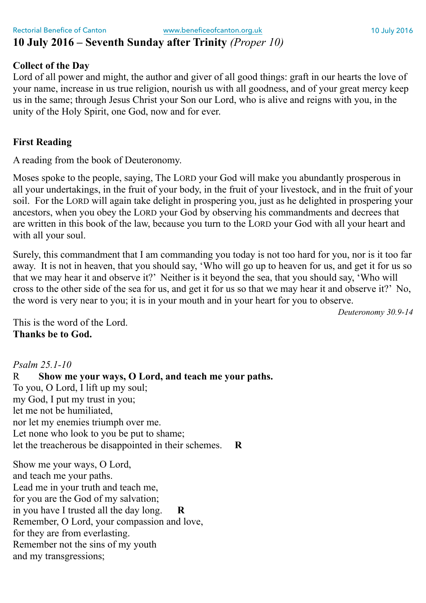## **10 July 2016 – Seventh Sunday after Trinity** *(Proper 10)*

#### **Collect of the Day**

Lord of all power and might, the author and giver of all good things: graft in our hearts the love of your name, increase in us true religion, nourish us with all goodness, and of your great mercy keep us in the same; through Jesus Christ your Son our Lord, who is alive and reigns with you, in the unity of the Holy Spirit, one God, now and for ever.

#### **First Reading**

A reading from the book of Deuteronomy.

Moses spoke to the people, saying, The LORD your God will make you abundantly prosperous in all your undertakings, in the fruit of your body, in the fruit of your livestock, and in the fruit of your soil. For the LORD will again take delight in prospering you, just as he delighted in prospering your ancestors, when you obey the LORD your God by observing his commandments and decrees that are written in this book of the law, because you turn to the LORD your God with all your heart and with all your soul.

Surely, this commandment that I am commanding you today is not too hard for you, nor is it too far away. It is not in heaven, that you should say, 'Who will go up to heaven for us, and get it for us so that we may hear it and observe it?' Neither is it beyond the sea, that you should say, 'Who will cross to the other side of the sea for us, and get it for us so that we may hear it and observe it?' No, the word is very near to you; it is in your mouth and in your heart for you to observe.

*Deuteronomy 30.9-14* 

This is the word of the Lord. **Thanks be to God.**

### *Psalm 25.1-10*

R **Show me your ways, O Lord, and teach me your paths.**  To you, O Lord, I lift up my soul; my God, I put my trust in you; let me not be humiliated, nor let my enemies triumph over me. Let none who look to you be put to shame; let the treacherous be disappointed in their schemes. **R** 

Show me your ways, O Lord, and teach me your paths. Lead me in your truth and teach me, for you are the God of my salvation; in you have I trusted all the day long. **R**  Remember, O Lord, your compassion and love, for they are from everlasting. Remember not the sins of my youth and my transgressions;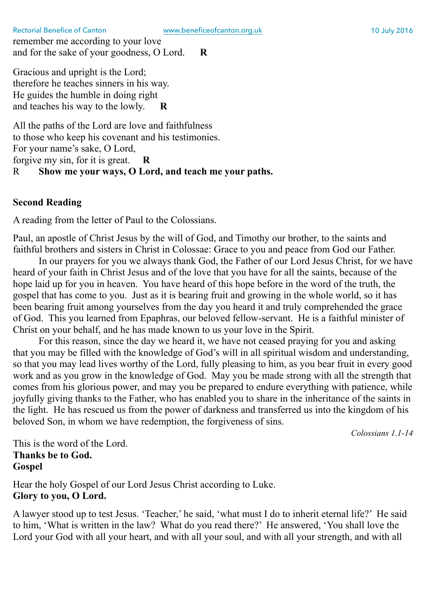remember me according to your love and for the sake of your goodness, O Lord. **R** 

Gracious and upright is the Lord; therefore he teaches sinners in his way. He guides the humble in doing right and teaches his way to the lowly. **R** 

All the paths of the Lord are love and faithfulness to those who keep his covenant and his testimonies. For your name's sake, O Lord, forgive my sin, for it is great. **R**  R **Show me your ways, O Lord, and teach me your paths.** 

#### **Second Reading**

A reading from the letter of Paul to the Colossians.

Paul, an apostle of Christ Jesus by the will of God, and Timothy our brother, to the saints and faithful brothers and sisters in Christ in Colossae: Grace to you and peace from God our Father.

In our prayers for you we always thank God, the Father of our Lord Jesus Christ, for we have heard of your faith in Christ Jesus and of the love that you have for all the saints, because of the hope laid up for you in heaven. You have heard of this hope before in the word of the truth, the gospel that has come to you. Just as it is bearing fruit and growing in the whole world, so it has been bearing fruit among yourselves from the day you heard it and truly comprehended the grace of God. This you learned from Epaphras, our beloved fellow-servant. He is a faithful minister of Christ on your behalf, and he has made known to us your love in the Spirit.

For this reason, since the day we heard it, we have not ceased praying for you and asking that you may be filled with the knowledge of God's will in all spiritual wisdom and understanding, so that you may lead lives worthy of the Lord, fully pleasing to him, as you bear fruit in every good work and as you grow in the knowledge of God. May you be made strong with all the strength that comes from his glorious power, and may you be prepared to endure everything with patience, while joyfully giving thanks to the Father, who has enabled you to share in the inheritance of the saints in the light. He has rescued us from the power of darkness and transferred us into the kingdom of his beloved Son, in whom we have redemption, the forgiveness of sins.

*Colossians 1.1-14* 

This is the word of the Lord. **Thanks be to God. Gospel** 

Hear the holy Gospel of our Lord Jesus Christ according to Luke. **Glory to you, O Lord.** 

A lawyer stood up to test Jesus. 'Teacher,' he said, 'what must I do to inherit eternal life?' He said to him, 'What is written in the law? What do you read there?' He answered, 'You shall love the Lord your God with all your heart, and with all your soul, and with all your strength, and with all